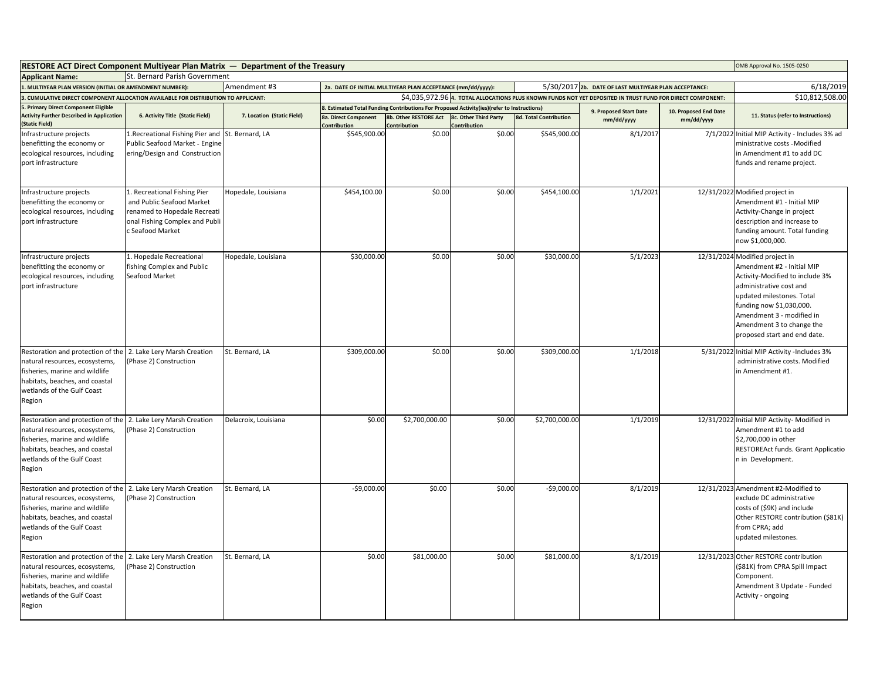| <b>RESTORE ACT Direct Component Multiyear Plan Matrix — Department of the Treasury</b>                                                                                         |                                                                                                                                                 |                            |                                      |                                                             |                                                                                            |                               |                                                                                                            |                       | OMB Approval No. 1505-0250                                                                                                                                                                                                                                                    |
|--------------------------------------------------------------------------------------------------------------------------------------------------------------------------------|-------------------------------------------------------------------------------------------------------------------------------------------------|----------------------------|--------------------------------------|-------------------------------------------------------------|--------------------------------------------------------------------------------------------|-------------------------------|------------------------------------------------------------------------------------------------------------|-----------------------|-------------------------------------------------------------------------------------------------------------------------------------------------------------------------------------------------------------------------------------------------------------------------------|
| <b>Applicant Name:</b>                                                                                                                                                         | St. Bernard Parish Government                                                                                                                   |                            |                                      |                                                             |                                                                                            |                               |                                                                                                            |                       |                                                                                                                                                                                                                                                                               |
| I. MULTIYEAR PLAN VERSION (INITIAL OR AMENDMENT NUMBER):<br>Amendment #3                                                                                                       |                                                                                                                                                 |                            |                                      | 2a. DATE OF INITIAL MULTIYEAR PLAN ACCEPTANCE (mm/dd/yyyy): |                                                                                            |                               | 5/30/2017 2b. DATE OF LAST MULTIYEAR PLAN ACCEPTANCE:                                                      |                       | 6/18/2019                                                                                                                                                                                                                                                                     |
| CUMULATIVE DIRECT COMPONENT ALLOCATION AVAILABLE FOR DISTRIBUTION TO APPLICANT:                                                                                                |                                                                                                                                                 |                            |                                      |                                                             |                                                                                            |                               | \$4,035,972.96 4. TOTAL ALLOCATIONS PLUS KNOWN FUNDS NOT YET DEPOSITED IN TRUST FUND FOR DIRECT COMPONENT: |                       | \$10,812,508.00                                                                                                                                                                                                                                                               |
| <b>Primary Direct Component Eligible</b>                                                                                                                                       |                                                                                                                                                 |                            |                                      |                                                             | 3. Estimated Total Funding Contributions For Proposed Activity(ies)(refer to Instructions) |                               | 9. Proposed Start Date                                                                                     | 10. Proposed End Date |                                                                                                                                                                                                                                                                               |
| <b>Activity Further Described in Application</b><br><b>Static Field)</b>                                                                                                       | 6. Activity Title (Static Field)                                                                                                                | 7. Location (Static Field) | 8a. Direct Component<br>Contribution | 8b. Other RESTORE Act<br>ontribution                        | <b>8c. Other Third Party</b><br><b>Iontribution</b>                                        | <b>8d. Total Contribution</b> | mm/dd/yyyy                                                                                                 | mm/dd/yyyy            | 11. Status (refer to Instructions)                                                                                                                                                                                                                                            |
| Infrastructure projects<br>benefitting the economy or<br>ecological resources, including<br>port infrastructure                                                                | 1.Recreational Fishing Pier and<br>Public Seafood Market - Engine<br>ering/Design and Construction                                              | St. Bernard, LA            | \$545,900.00                         | \$0.00                                                      | \$0.00                                                                                     | \$545,900.00                  | 8/1/2017                                                                                                   |                       | 7/1/2022 Initial MIP Activity - Includes 3% ad<br>ministrative costs - Modified<br>in Amendment #1 to add DC<br>funds and rename project.                                                                                                                                     |
| Infrastructure projects<br>benefitting the economy or<br>ecological resources, including<br>port infrastructure                                                                | 1. Recreational Fishing Pier<br>and Public Seafood Market<br>renamed to Hopedale Recreati<br>onal Fishing Complex and Publi<br>c Seafood Market | Hopedale, Louisiana        | \$454,100.00                         | \$0.00                                                      | \$0.00                                                                                     | \$454,100.00                  | 1/1/2021                                                                                                   |                       | 12/31/2022 Modified project in<br>Amendment #1 - Initial MIP<br>Activity-Change in project<br>description and increase to<br>funding amount. Total funding<br>now \$1,000,000.                                                                                                |
| Infrastructure projects<br>benefitting the economy or<br>ecological resources, including<br>port infrastructure                                                                | 1. Hopedale Recreational<br>fishing Complex and Public<br>Seafood Market                                                                        | Hopedale, Louisiana        | \$30,000.00                          | \$0.00                                                      | \$0.00                                                                                     | \$30,000.00                   | 5/1/2023                                                                                                   |                       | 12/31/2024 Modified project in<br>Amendment #2 - Initial MIP<br>Activity-Modified to include 3%<br>administrative cost and<br>updated milestones. Total<br>funding now \$1,030,000.<br>Amendment 3 - modified in<br>Amendment 3 to change the<br>proposed start and end date. |
| Restoration and protection of the<br>natural resources, ecosystems,<br>fisheries, marine and wildlife<br>abitats, beaches, and coastal<br>wetlands of the Gulf Coast<br>Region | 2. Lake Lery Marsh Creation<br>(Phase 2) Construction                                                                                           | St. Bernard, LA            | \$309,000.00                         | \$0.00                                                      | \$0.00                                                                                     | \$309,000.00                  | 1/1/2018                                                                                                   |                       | 5/31/2022 Initial MIP Activity -Includes 3%<br>administrative costs. Modified<br>in Amendment #1.                                                                                                                                                                             |
| Restoration and protection of the<br>natural resources, ecosystems,<br>fisheries, marine and wildlife<br>abitats, beaches, and coastal<br>wetlands of the Gulf Coast<br>Region | 2. Lake Lery Marsh Creation<br>(Phase 2) Construction                                                                                           | Delacroix, Louisiana       | \$0.00                               | \$2,700,000.00                                              | \$0.00                                                                                     | \$2,700,000.00                | 1/1/2019                                                                                                   |                       | 12/31/2022 Initial MIP Activity- Modified in<br>Amendment #1 to add<br>\$2,700,000 in other<br>RESTOREAct funds. Grant Applicatio<br>n in Development.                                                                                                                        |
| Restoration and protection of the<br>natural resources, ecosystems,<br>fisheries, marine and wildlife<br>abitats, beaches, and coastal<br>wetlands of the Gulf Coast<br>Region | 2. Lake Lery Marsh Creation<br>(Phase 2) Construction                                                                                           | St. Bernard, LA            | $-$9,000.00$                         | \$0.00                                                      | \$0.00                                                                                     | $-$9,000.00$                  | 8/1/2019                                                                                                   |                       | 12/31/2023 Amendment #2-Modified to<br>exclude DC administrative<br>costs of (\$9K) and include<br>Other RESTORE contribution (\$81K)<br>from CPRA; add<br>updated milestones.                                                                                                |
| Restoration and protection of the<br>natural resources, ecosystems,<br>fisheries, marine and wildlife<br>abitats, beaches, and coastal<br>wetlands of the Gulf Coast<br>Region | 2. Lake Lery Marsh Creation<br>(Phase 2) Construction                                                                                           | St. Bernard, LA            | \$0.00                               | \$81,000.00                                                 | \$0.00                                                                                     | \$81,000.00                   | 8/1/2019                                                                                                   |                       | 12/31/2023 Other RESTORE contribution<br>(\$81K) from CPRA Spill Impact<br>Component.<br>Amendment 3 Update - Funded<br>Activity - ongoing                                                                                                                                    |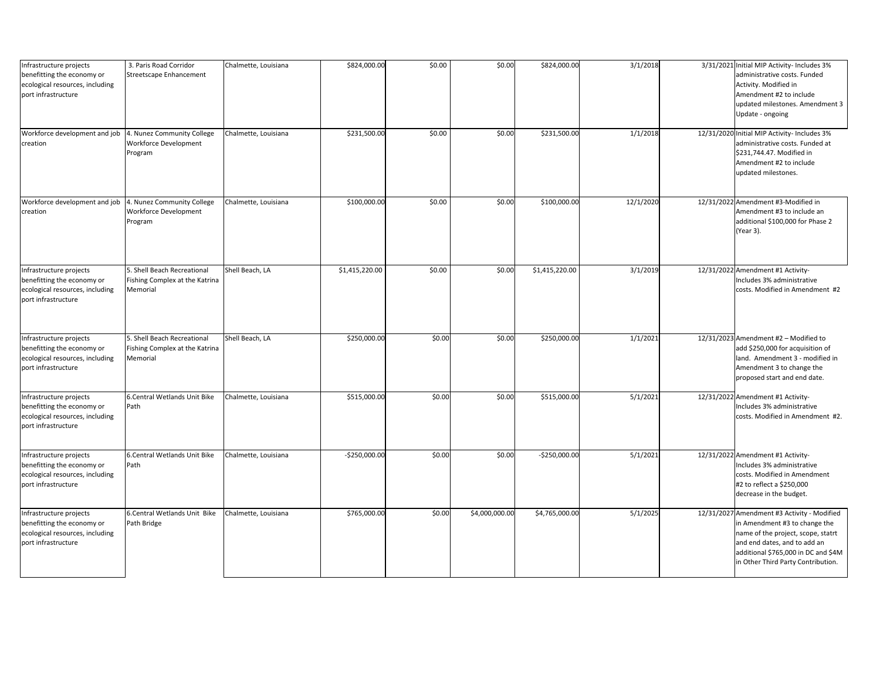| Infrastructure projects<br>benefitting the economy or<br>ecological resources, including<br>port infrastructure | 3. Paris Road Corridor<br>Streetscape Enhancement                         | Chalmette, Louisiana | \$824,000.00   | \$0.00 | \$0.00         | \$824,000.00   | 3/1/2018  | 3/31/2021 Initial MIP Activity- Includes 3%<br>administrative costs. Funded<br>Activity. Modified in<br>Amendment #2 to include<br>updated milestones. Amendment 3<br>Update - ongoing                                          |
|-----------------------------------------------------------------------------------------------------------------|---------------------------------------------------------------------------|----------------------|----------------|--------|----------------|----------------|-----------|---------------------------------------------------------------------------------------------------------------------------------------------------------------------------------------------------------------------------------|
| Workforce development and job<br>creation                                                                       | 4. Nunez Community College<br>Workforce Development<br>Program            | Chalmette, Louisiana | \$231,500.00   | \$0.00 | \$0.00         | \$231,500.00   | 1/1/2018  | 12/31/2020 Initial MIP Activity- Includes 3%<br>administrative costs. Funded at<br>\$231,744.47. Modified in<br>Amendment #2 to include<br>updated milestones.                                                                  |
| Workforce development and job<br>creation                                                                       | 4. Nunez Community College<br>Workforce Development<br>Program            | Chalmette, Louisiana | \$100,000.00   | \$0.00 | \$0.00         | \$100,000.00   | 12/1/2020 | 12/31/2022 Amendment #3-Modified in<br>Amendment #3 to include an<br>additional \$100,000 for Phase 2<br>(Year 3).                                                                                                              |
| Infrastructure projects<br>benefitting the economy or<br>ecological resources, including<br>port infrastructure | 5. Shell Beach Recreational<br>Fishing Complex at the Katrina<br>Memorial | Shell Beach, LA      | \$1,415,220.00 | \$0.00 | \$0.00         | \$1,415,220.00 | 3/1/2019  | 12/31/2022 Amendment #1 Activity-<br>Includes 3% administrative<br>costs. Modified in Amendment #2                                                                                                                              |
| Infrastructure projects<br>benefitting the economy or<br>ecological resources, including<br>port infrastructure | 5. Shell Beach Recreational<br>Fishing Complex at the Katrina<br>Memorial | Shell Beach, LA      | \$250,000.00   | \$0.00 | \$0.00         | \$250,000.00   | 1/1/2021  | 12/31/2023 Amendment #2 - Modified to<br>add \$250,000 for acquisition of<br>land. Amendment 3 - modified in<br>Amendment 3 to change the<br>proposed start and end date.                                                       |
| Infrastructure projects<br>benefitting the economy or<br>ecological resources, including<br>port infrastructure | 6.Central Wetlands Unit Bike<br>Path                                      | Chalmette, Louisiana | \$515,000.00   | \$0.00 | \$0.00         | \$515,000.00   | 5/1/2021  | 12/31/2022 Amendment #1 Activity-<br>Includes 3% administrative<br>costs. Modified in Amendment #2.                                                                                                                             |
| Infrastructure projects<br>benefitting the economy or<br>ecological resources, including<br>port infrastructure | 6.Central Wetlands Unit Bike<br>Path                                      | Chalmette, Louisiana | $-$250,000.00$ | \$0.00 | \$0.00         | $-$250,000.00$ | 5/1/2021  | 12/31/2022 Amendment #1 Activity-<br>Includes 3% administrative<br>costs. Modified in Amendment<br>#2 to reflect a \$250,000<br>decrease in the budget.                                                                         |
| Infrastructure projects<br>benefitting the economy or<br>ecological resources, including<br>port infrastructure | 6.Central Wetlands Unit Bike<br>Path Bridge                               | Chalmette, Louisiana | \$765,000.00   | \$0.00 | \$4,000,000.00 | \$4,765,000.00 | 5/1/2025  | 12/31/2027 Amendment #3 Activity - Modified<br>in Amendment #3 to change the<br>name of the project, scope, statrt<br>and end dates, and to add an<br>additional \$765,000 in DC and \$4M<br>in Other Third Party Contribution. |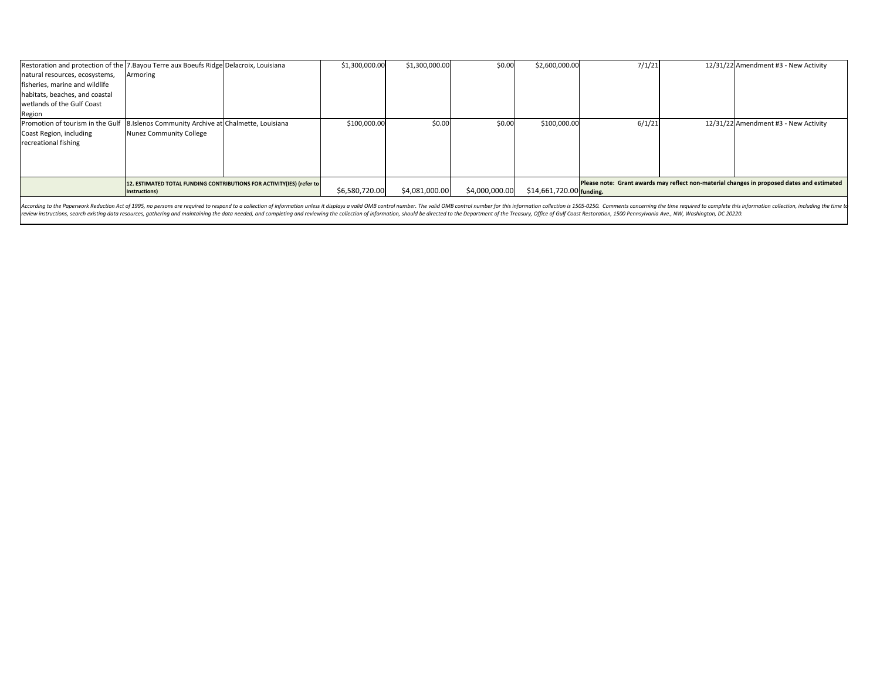| Restoration and protection of the 7. Bayou Terre aux Boeufs Ridge Delacroix, Louisiana |                                                                       |  | \$1,300,000.00 | \$1,300,000.00 | \$0.00         | \$2,600,000.00                                                                             | 7/1/21 |  | 12/31/22 Amendment #3 - New Activity |
|----------------------------------------------------------------------------------------|-----------------------------------------------------------------------|--|----------------|----------------|----------------|--------------------------------------------------------------------------------------------|--------|--|--------------------------------------|
| natural resources, ecosystems,                                                         | Armoring                                                              |  |                |                |                |                                                                                            |        |  |                                      |
| fisheries, marine and wildlife                                                         |                                                                       |  |                |                |                |                                                                                            |        |  |                                      |
| habitats, beaches, and coastal                                                         |                                                                       |  |                |                |                |                                                                                            |        |  |                                      |
| wetlands of the Gulf Coast                                                             |                                                                       |  |                |                |                |                                                                                            |        |  |                                      |
| Region                                                                                 |                                                                       |  |                |                |                |                                                                                            |        |  |                                      |
| Promotion of tourism in the Gulf                                                       | 8. Islenos Community Archive at Chalmette, Louisiana                  |  | \$100,000.00   | \$0.00         | \$0.00         | \$100,000.00                                                                               | 6/1/21 |  | 12/31/22 Amendment #3 - New Activity |
| Coast Region, including                                                                | Nunez Community College                                               |  |                |                |                |                                                                                            |        |  |                                      |
| recreational fishing                                                                   |                                                                       |  |                |                |                |                                                                                            |        |  |                                      |
|                                                                                        |                                                                       |  |                |                |                |                                                                                            |        |  |                                      |
|                                                                                        |                                                                       |  |                |                |                |                                                                                            |        |  |                                      |
|                                                                                        |                                                                       |  |                |                |                |                                                                                            |        |  |                                      |
|                                                                                        | 12. ESTIMATED TOTAL FUNDING CONTRIBUTIONS FOR ACTIVITY(IES) (refer to |  |                |                |                | Please note: Grant awards may reflect non-material changes in proposed dates and estimated |        |  |                                      |
|                                                                                        | Instructions)                                                         |  | \$6,580,720.00 | \$4,081,000.00 | \$4,000,000.00 | $$14,661,720.00$ funding.                                                                  |        |  |                                      |
|                                                                                        |                                                                       |  |                |                |                |                                                                                            |        |  |                                      |

According to the Paperwork Reduction Act of 1995, no persons are required to respond to a collection of information unless it displays a valid OMB control number. The valid OMB control number for this information collectio review instructions, search existing data resources, gathering and maintaining the data needed, and completing and reviewing the collection of information, should be directed to the Department of the Treasury, Office of Gu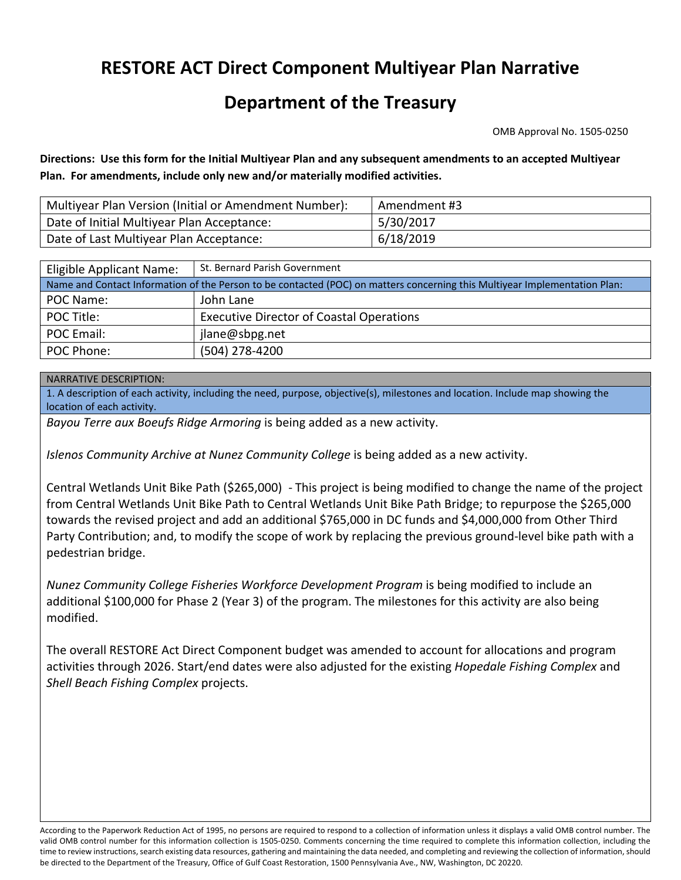# **RESTORE ACT Direct Component Multiyear Plan Narrative**

## **Department of the Treasury**

OMB Approval No. 1505‐0250

Directions: Use this form for the Initial Multiyear Plan and any subsequent amendments to an accepted Multiyear  **Plan. For amendments, include only new and/or materially modified activities.**

| Multiyear Plan Version (Initial or Amendment Number): | Amendment #3 |
|-------------------------------------------------------|--------------|
| Date of Initial Multiyear Plan Acceptance:            | 5/30/2017    |
| Date of Last Multiyear Plan Acceptance:               | 6/18/2019    |

| Eligible Applicant Name:                                                                                                   | St. Bernard Parish Government                   |  |  |  |  |  |
|----------------------------------------------------------------------------------------------------------------------------|-------------------------------------------------|--|--|--|--|--|
| Name and Contact Information of the Person to be contacted (POC) on matters concerning this Multiyear Implementation Plan: |                                                 |  |  |  |  |  |
| POC Name:                                                                                                                  | John Lane                                       |  |  |  |  |  |
| POC Title:                                                                                                                 | <b>Executive Director of Coastal Operations</b> |  |  |  |  |  |
| POC Email:                                                                                                                 | jlane@sbpg.net                                  |  |  |  |  |  |
| POC Phone:                                                                                                                 | (504) 278-4200                                  |  |  |  |  |  |

#### NARRATIVE DESCRIPTION:

 1. A description of each activity, including the need, purpose, objective(s), milestones and location. Include map showing the location of each activity.

 *Bayou Terre aux Boeufs Ridge Armoring* is being added as a new activity.

 *Islenos Community Archive at Nunez Community College* is being added as a new activity.

 Central Wetlands Unit Bike Path (\$265,000) ‐ This project is being modified to change the name of the project from Central Wetlands Unit Bike Path to Central Wetlands Unit Bike Path Bridge; to repurpose the \$265,000 towards the revised project and add an additional \$765,000 in DC funds and \$4,000,000 from Other Third Party Contribution; and, to modify the scope of work by replacing the previous ground‐level bike path with a pedestrian bridge.

 *Nunez Community College Fisheries Workforce Development Program* is being modified to include an additional \$100,000 for Phase 2 (Year 3) of the program. The milestones for this activity are also being modified.

 The overall RESTORE Act Direct Component budget was amended to account for allocations and program  activities through 2026. Start/end dates were also adjusted for the existing *Hopedale Fishing Complex* and  *Shell Beach Fishing Complex* projects.

 According to the Paperwork Reduction Act of 1995, no persons are required to respond to a collection of information unless it displays a valid OMB control number. The valid OMB control number for this information collection is 1505‐0250. Comments concerning the time required to complete this information collection, including the time to review instructions, search existing data resources, gathering and maintaining the data needed, and completing and reviewing the collection of information, should be directed to the Department of the Treasury, Office of Gulf Coast Restoration, 1500 Pennsylvania Ave., NW, Washington, DC 20220.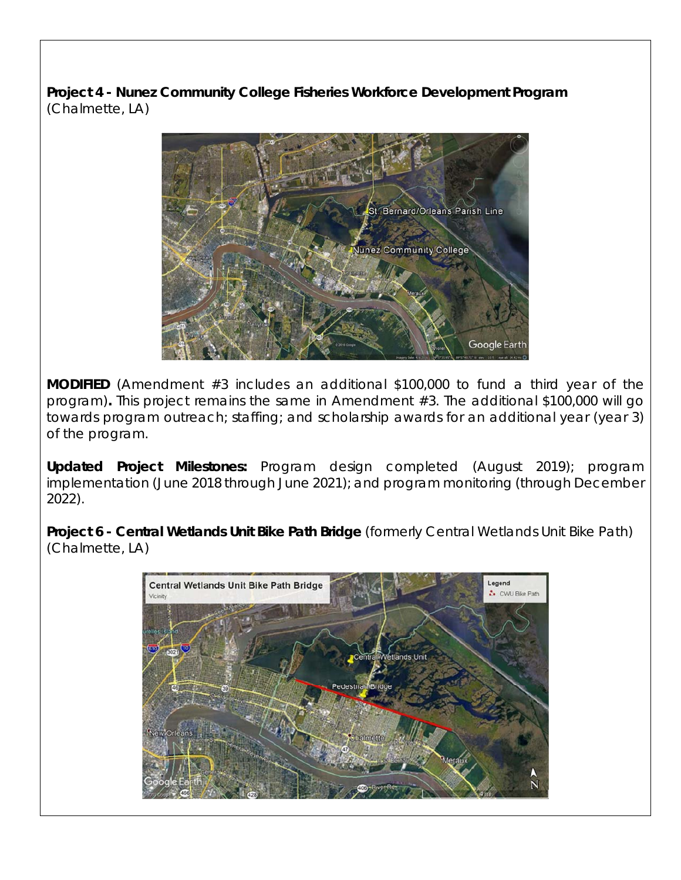(Chalmette, LA) **Project 4 - Nunez Community College Fisheries Workforce Development Program** 



**MODIFIED** (Amendment #3 includes an additional \$100,000 to fund a third year of the program)**.** This project remains the same in Amendment #3. The additional \$100,000 will go towards program outreach; staffing; and scholarship awards for an additional year (year 3) of the program.

 2022). **Updated Project Milestones:** Program design completed (August 2019); program implementation (June 2018 through June 2021); and program monitoring (through December

**Project 6 - Central Wetlands Unit Bike Path Bridge** (formerly Central Wetlands Unit Bike Path) (Chalmette, LA)

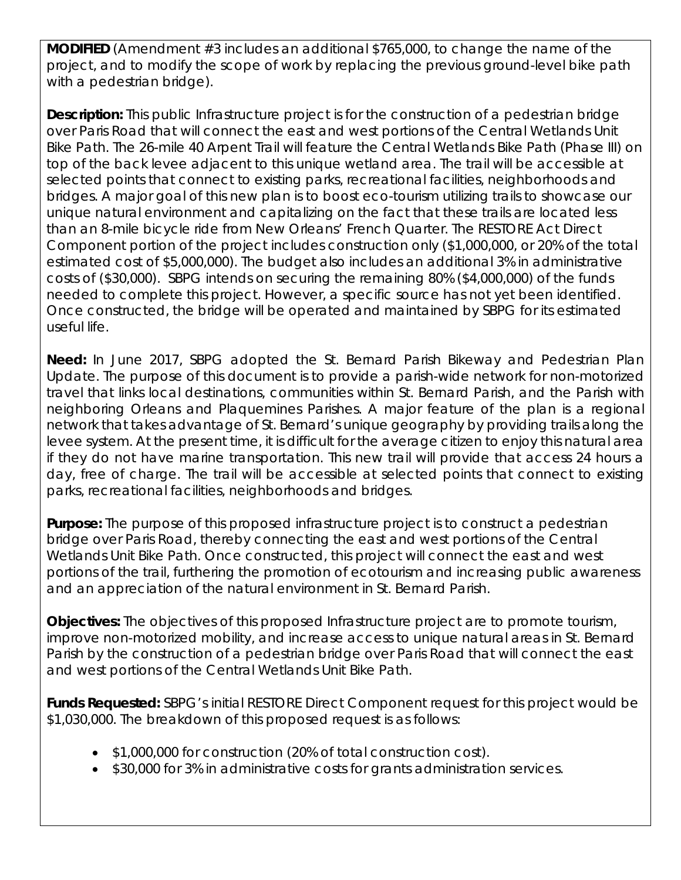**MODIFIED** (Amendment #3 includes an additional \$765,000, to change the name of the project, and to modify the scope of work by replacing the previous ground-level bike path with a pedestrian bridge).

**Description:** This public Infrastructure project is for the construction of a pedestrian bridge over Paris Road that will connect the east and west portions of the Central Wetlands Unit Bike Path. The 26-mile 40 Arpent Trail will feature the Central Wetlands Bike Path (Phase III) on top of the back levee adjacent to this unique wetland area. The trail will be accessible at selected points that connect to existing parks, recreational facilities, neighborhoods and bridges. A major goal of this new plan is to boost eco-tourism utilizing trails to showcase our unique natural environment and capitalizing on the fact that these trails are located less than an 8-mile bicycle ride from New Orleans' French Quarter. The RESTORE Act Direct Component portion of the project includes construction only (\$1,000,000, or 20% of the total estimated cost of \$5,000,000). The budget also includes an additional 3% in administrative costs of (\$30,000). SBPG intends on securing the remaining 80% (\$4,000,000) of the funds needed to complete this project. However, a specific source has not yet been identified. Once constructed, the bridge will be operated and maintained by SBPG for its estimated useful life.

 parks, recreational facilities, neighborhoods and bridges. **Need:** In June 2017, SBPG adopted the *St. Bernard Parish Bikeway and Pedestrian Plan Update*. The purpose of this document is to provide a parish-wide network for non-motorized travel that links local destinations, communities within St. Bernard Parish, and the Parish with neighboring Orleans and Plaquemines Parishes. A major feature of the plan is a regional network that takes advantage of St. Bernard's unique geography by providing trails along the levee system. At the present time, it is difficult for the average citizen to enjoy this natural area if they do not have marine transportation. This new trail will provide that access 24 hours a day, free of charge. The trail will be accessible at selected points that connect to existing

 and an appreciation of the natural environment in St. Bernard Parish. **Purpose:** The purpose of this proposed infrastructure project is to construct a pedestrian bridge over Paris Road, thereby connecting the east and west portions of the Central Wetlands Unit Bike Path. Once constructed, this project will connect the east and west portions of the trail, furthering the promotion of ecotourism and increasing public awareness

**Objectives:** The objectives of this proposed Infrastructure project are to promote tourism, improve non-motorized mobility, and increase access to unique natural areas in St. Bernard Parish by the construction of a pedestrian bridge over Paris Road that will connect the east and west portions of the Central Wetlands Unit Bike Path.

**Funds Requested:** SBPG's initial RESTORE Direct Component request for this project would be \$1,030,000. The breakdown of this proposed request is as follows:

- \$1,000,000 for construction (20% of total construction cost).
- \$30,000 for 3% in administrative costs for grants administration services.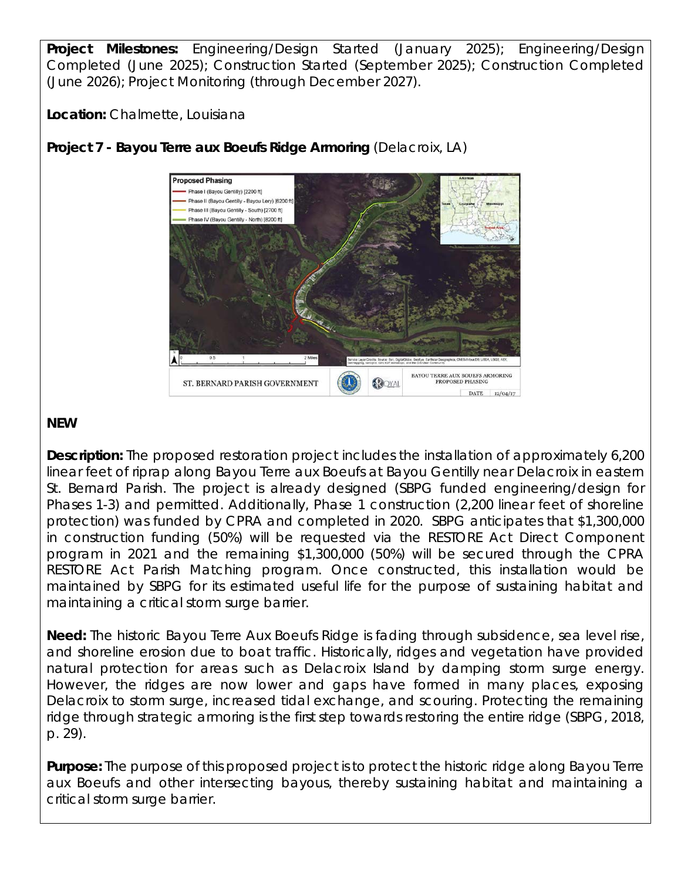**Project Milestones:** Engineering/Design Started (January 2025); Engineering/Design Completed (June 2025); Construction Started (September 2025); Construction Completed (June 2026); Project Monitoring (through December 2027).

**Location:** Chalmette, Louisiana



**Project 7 - Bayou Terre aux Boeufs Ridge Armoring** (Delacroix, LA)

### **NEW**

 maintaining a critical storm surge barrier. **Description:** The proposed restoration project includes the installation of approximately 6,200 linear feet of riprap along Bayou Terre aux Boeufs at Bayou Gentilly near Delacroix in eastern St. Bernard Parish. The project is already designed (SBPG funded engineering/design for Phases 1-3) and permitted. Additionally, Phase 1 construction (2,200 linear feet of shoreline protection) was funded by CPRA and completed in 2020. SBPG anticipates that \$1,300,000 in construction funding (50%) will be requested via the RESTORE Act Direct Component program in 2021 and the remaining \$1,300,000 (50%) will be secured through the CPRA RESTORE Act Parish Matching program. Once constructed, this installation would be maintained by SBPG for its estimated useful life for the purpose of sustaining habitat and

**Need:** The historic Bayou Terre Aux Boeufs Ridge is fading through subsidence, sea level rise, and shoreline erosion due to boat traffic. Historically, ridges and vegetation have provided natural protection for areas such as Delacroix Island by damping storm surge energy. However, the ridges are now lower and gaps have formed in many places, exposing Delacroix to storm surge, increased tidal exchange, and scouring. Protecting the remaining ridge through strategic armoring is the first step towards restoring the entire ridge (SBPG, 2018, p. 29).

 critical storm surge barrier. **Purpose:** The purpose of this proposed project is to protect the historic ridge along Bayou Terre aux Boeufs and other intersecting bayous, thereby sustaining habitat and maintaining a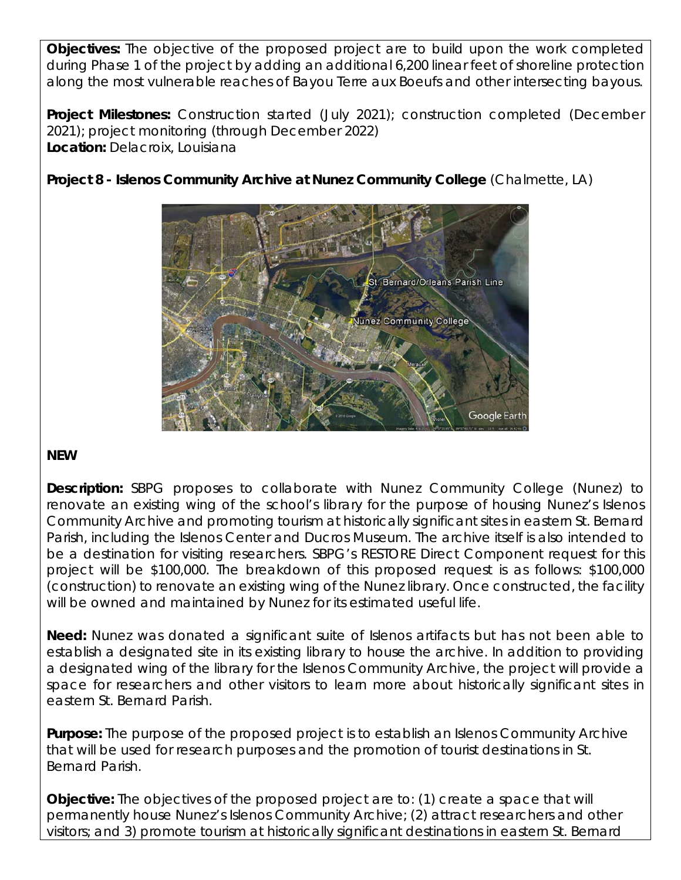along the most vulnerable reaches of Bayou Terre aux Boeufs and other intersecting bayous. **Objectives:** The objective of the proposed project are to build upon the work completed during Phase 1 of the project by adding an additional 6,200 linear feet of shoreline protection

**Project Milestones:** Construction started (July 2021); construction completed (December 2021); project monitoring (through December 2022) **Location:** Delacroix, Louisiana

**Project 8 - Islenos Community Archive at Nunez Community College** (Chalmette, LA)



### **NEW**

**Description:** SBPG proposes to collaborate with Nunez Community College (Nunez) to renovate an existing wing of the school's library for the purpose of housing Nunez's Islenos Community Archive and promoting tourism at historically significant sites in eastern St. Bernard Parish, including the Islenos Center and Ducros Museum. The archive itself is also intended to be a destination for visiting researchers. SBPG's RESTORE Direct Component request for this project will be \$100,000. The breakdown of this proposed request is as follows: \$100,000 (construction) to renovate an existing wing of the Nunez library. Once constructed, the facility will be owned and maintained by Nunez for its estimated useful life.

 eastern St. Bernard Parish. **Need:** Nunez was donated a significant suite of Islenos artifacts but has not been able to establish a designated site in its existing library to house the archive. In addition to providing a designated wing of the library for the Islenos Community Archive, the project will provide a space for researchers and other visitors to learn more about historically significant sites in

**Purpose:** The purpose of the proposed project is to establish an Islenos Community Archive that will be used for research purposes and the promotion of tourist destinations in St. Bernard Parish.

**Objective:** The objectives of the proposed project are to: (1) create a space that will permanently house Nunez's Islenos Community Archive; (2) attract researchers and other visitors; and 3) promote tourism at historically significant destinations in eastern St. Bernard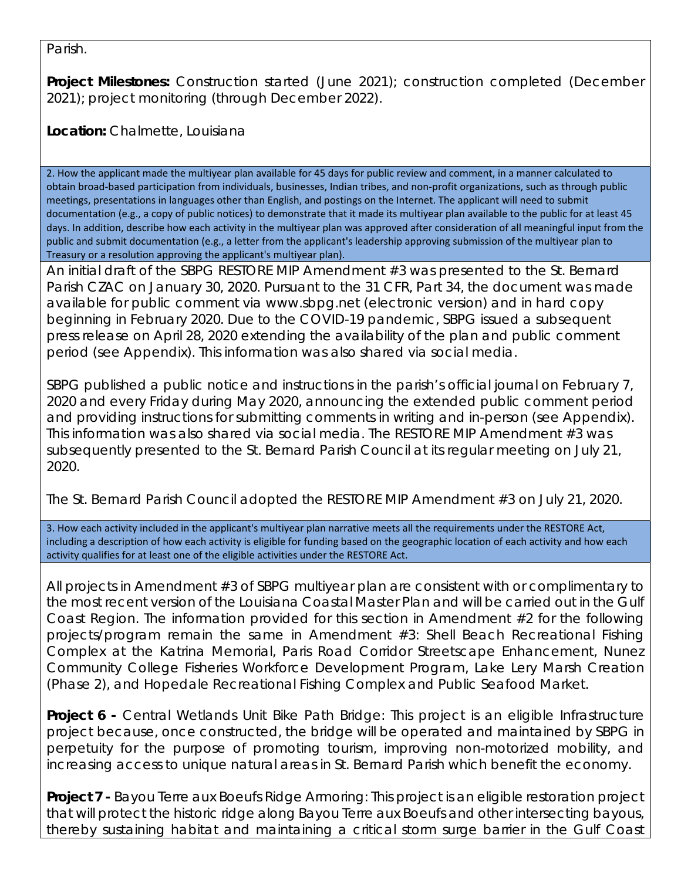Parish.

**Project Milestones:** Construction started (June 2021); construction completed (December 2021); project monitoring (through December 2022).

**Location:** Chalmette, Louisiana

 2. How the applicant made the multiyear plan available for 45 days for public review and comment, in a manner calculated to obtain broad‐based participation from individuals, businesses, Indian tribes, and non‐profit organizations, such as through public meetings, presentations in languages other than English, and postings on the Internet. The applicant will need to submit documentation (e.g., a copy of public notices) to demonstrate that it made its multiyear plan available to the public for at least 45 days. In addition, describe how each activity in the multiyear plan was approved after consideration of all meaningful input from the public and submit documentation (e.g., a letter from the applicant's leadership approving submission of the multiyear plan to Treasury or a resolution approving the applicant's multiyear plan).

period (see Appendix). This information was also shared via social media. An initial draft of the SBPG RESTORE MIP Amendment #3 was presented to the St. Bernard Parish CZAC on January 30, 2020. Pursuant to the 31 CFR, Part 34, the document was made available for public comment via <www.sbpg.net>(electronic version) and in hard copy beginning in February 2020. Due to the COVID-19 pandemic, SBPG issued a subsequent press release on April 28, 2020 extending the availability of the plan and public comment

2020. SBPG published a public notice and instructions in the parish's official journal on February 7, 2020 and every Friday during May 2020, announcing the extended public comment period and providing instructions for submitting comments in writing and in-person (see Appendix). This information was also shared via social media. The RESTORE MIP Amendment #3 was subsequently presented to the St. Bernard Parish Council at its regular meeting on July 21,

2020. The St. Bernard Parish Council adopted the RESTORE MIP Amendment #3 on July 21, 2020.

 3. How each activity included in the applicant's multiyear plan narrative meets all the requirements under the RESTORE Act, including a description of how each activity is eligible for funding based on the geographic location of each activity and how each activity qualifies for at least one of the eligible activities under the RESTORE Act.

 (Phase 2), and Hopedale Recreational Fishing Complex and Public Seafood Market. All projects in Amendment #3 of SBPG multiyear plan are consistent with or complimentary to the most recent version of the Louisiana Coastal Master Plan and will be carried out in the Gulf Coast Region. The information provided for this section in Amendment #2 for the following projects/program remain the same in Amendment #3: Shell Beach Recreational Fishing Complex at the Katrina Memorial, Paris Road Corridor Streetscape Enhancement, Nunez Community College Fisheries Workforce Development Program, Lake Lery Marsh Creation

**Project 6 -** Central Wetlands Unit Bike Path Bridge: This project is an eligible Infrastructure project because, once constructed, the bridge will be operated and maintained by SBPG in perpetuity for the purpose of promoting tourism, improving non-motorized mobility, and increasing access to unique natural areas in St. Bernard Parish which benefit the economy.

**Project 7 -** Bayou Terre aux Boeufs Ridge Armoring: This project is an eligible restoration project that will protect the historic ridge along Bayou Terre aux Boeufs and other intersecting bayous, thereby sustaining habitat and maintaining a critical storm surge barrier in the Gulf Coast